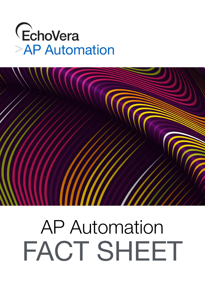# EchoVera<br>>AP Automation



# AP Automation FACT SHEET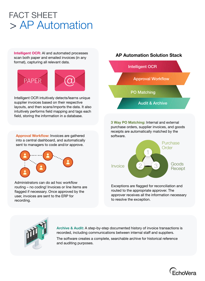#### > AP Automation FACT SHEET

**Intelligent OCR:** AI and automated processes scan both paper and emailed invoices (in any format), capturing all relevant data.



Intelligent OCR intuitively detects/learns unique supplier invoices based on their respective layouts, and then scans/imports the data. It also intuitively performs field mapping and tags each field, storing the information in a database.

**Approval Workflow:** Invoices are gathered into a central dashboard, and automatically sent to managers to code and/or approve.



Administrators can do ad hoc workflow routing – no coding! Invoices or line items are flagged if necessary. Once approved by the user, invoices are sent to the ERP for recording.

## Intelligent OCR Approval Workflow PO Matching Audit & Archive **AP Automation Solution Stack**

**3 Way PO Matching:** Internal and external purchase orders, supplier invoices, and goods receipts are automatically matched by the software.



Exceptions are flagged for reconciliation and routed to the appropriate approver. The approver receives all the information necessary to resolve the exception.



**Archive & Audit:** A step-by-step documented history of invoice transactions is recorded, including communications between internal staff and suppliers.

The software creates a complete, searchable archive for historical reference and auditing purposes.

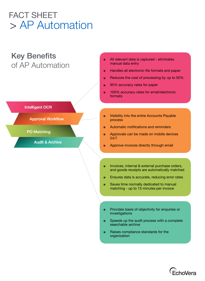### > AP Automation FACT SHEET

#### Key Benefits of AP Automation

**Intelligent OCR** 

**PO Matching** 

**Approval Workflow** 

**Audit & Archive** 

#### All relevant data is captured - eliminates manual data entry

- ๏ Handles all electronic file formats and paper
- ๏ Reduces the cost of processing by up to 50%
- ๏ 95% accuracy rates for paper
- ๏ 100% accuracy rates for email/electronic formats
- ๏ Visibility into the entire Accounts Payable process
- Automatic notifications and reminders
- ๏ Approvals can be made on mobile devices 24/7
- Approve invoices directly through email
- ๏ Invoices, internal & external purchase orders, and goods receipts are automatically matched
- ๏ Ensures data is accurate, reducing error rates
- Saves time normally dedicated to manual matching - up to 15 minutes per invoice
- Provides basis of objectivity for enquiries or investigations
- Speeds up the audit process with a complete searchable archive
- ๏ Raises compliance standards for the organization